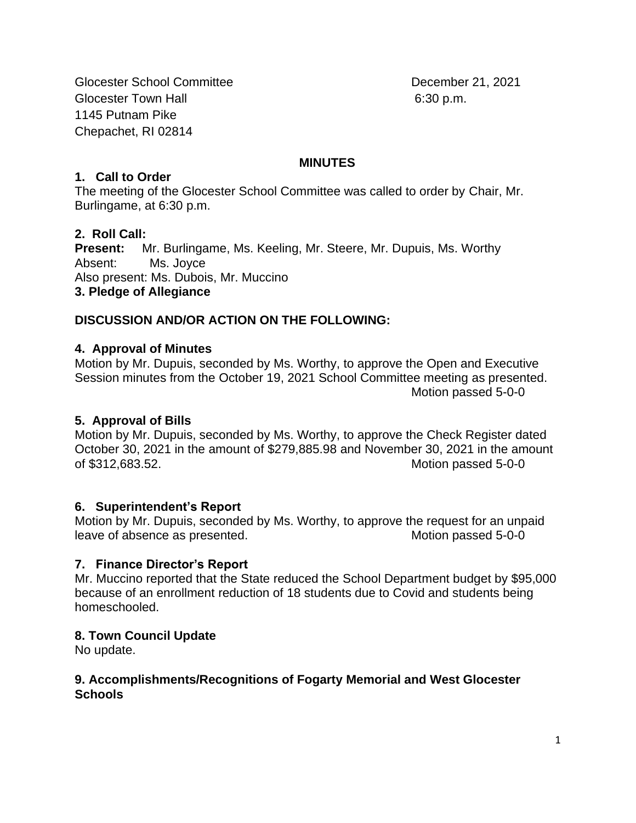Glocester School Committee **December 21, 2021** Glocester Town Hall 6:30 p.m. 1145 Putnam Pike Chepachet, RI 02814

#### **MINUTES**

#### **1. Call to Order**

The meeting of the Glocester School Committee was called to order by Chair, Mr. Burlingame, at 6:30 p.m.

## **2. Roll Call:**

**Present:** Mr. Burlingame, Ms. Keeling, Mr. Steere, Mr. Dupuis, Ms. Worthy Absent: Ms. Joyce Also present: Ms. Dubois, Mr. Muccino **3. Pledge of Allegiance**

#### **DISCUSSION AND/OR ACTION ON THE FOLLOWING:**

#### **4. Approval of Minutes**

Motion by Mr. Dupuis, seconded by Ms. Worthy, to approve the Open and Executive Session minutes from the October 19, 2021 School Committee meeting as presented. Motion passed 5-0-0

#### **5. Approval of Bills**

Motion by Mr. Dupuis, seconded by Ms. Worthy, to approve the Check Register dated October 30, 2021 in the amount of \$279,885.98 and November 30, 2021 in the amount of \$312,683.52. Motion passed 5-0-0

#### **6. Superintendent's Report**

Motion by Mr. Dupuis, seconded by Ms. Worthy, to approve the request for an unpaid leave of absence as presented. The massed 5-0-0 motion passed 5-0-0

#### **7. Finance Director's Report**

Mr. Muccino reported that the State reduced the School Department budget by \$95,000 because of an enrollment reduction of 18 students due to Covid and students being homeschooled.

#### **8. Town Council Update**

No update.

#### **9. Accomplishments/Recognitions of Fogarty Memorial and West Glocester Schools**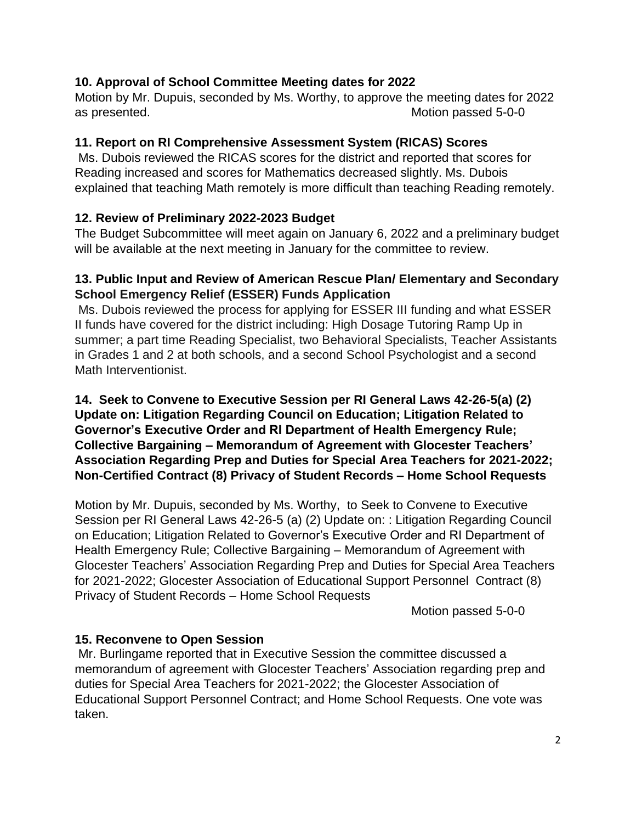## **10. Approval of School Committee Meeting dates for 2022**

Motion by Mr. Dupuis, seconded by Ms. Worthy, to approve the meeting dates for 2022 as presented. Motion passed 5-0-0

## **11. Report on RI Comprehensive Assessment System (RICAS) Scores**

Ms. Dubois reviewed the RICAS scores for the district and reported that scores for Reading increased and scores for Mathematics decreased slightly. Ms. Dubois explained that teaching Math remotely is more difficult than teaching Reading remotely.

## **12. Review of Preliminary 2022-2023 Budget**

The Budget Subcommittee will meet again on January 6, 2022 and a preliminary budget will be available at the next meeting in January for the committee to review.

### **13. Public Input and Review of American Rescue Plan/ Elementary and Secondary School Emergency Relief (ESSER) Funds Application**

Ms. Dubois reviewed the process for applying for ESSER III funding and what ESSER II funds have covered for the district including: High Dosage Tutoring Ramp Up in summer; a part time Reading Specialist, two Behavioral Specialists, Teacher Assistants in Grades 1 and 2 at both schools, and a second School Psychologist and a second Math Interventionist.

### **14. Seek to Convene to Executive Session per RI General Laws 42-26-5(a) (2) Update on: Litigation Regarding Council on Education; Litigation Related to Governor's Executive Order and RI Department of Health Emergency Rule; Collective Bargaining – Memorandum of Agreement with Glocester Teachers' Association Regarding Prep and Duties for Special Area Teachers for 2021-2022; Non-Certified Contract (8) Privacy of Student Records – Home School Requests**

Motion by Mr. Dupuis, seconded by Ms. Worthy, to Seek to Convene to Executive Session per RI General Laws 42-26-5 (a) (2) Update on: : Litigation Regarding Council on Education; Litigation Related to Governor's Executive Order and RI Department of Health Emergency Rule; Collective Bargaining – Memorandum of Agreement with Glocester Teachers' Association Regarding Prep and Duties for Special Area Teachers for 2021-2022; Glocester Association of Educational Support Personnel Contract (8) Privacy of Student Records – Home School Requests

Motion passed 5-0-0

## **15. Reconvene to Open Session**

Mr. Burlingame reported that in Executive Session the committee discussed a memorandum of agreement with Glocester Teachers' Association regarding prep and duties for Special Area Teachers for 2021-2022; the Glocester Association of Educational Support Personnel Contract; and Home School Requests. One vote was taken.